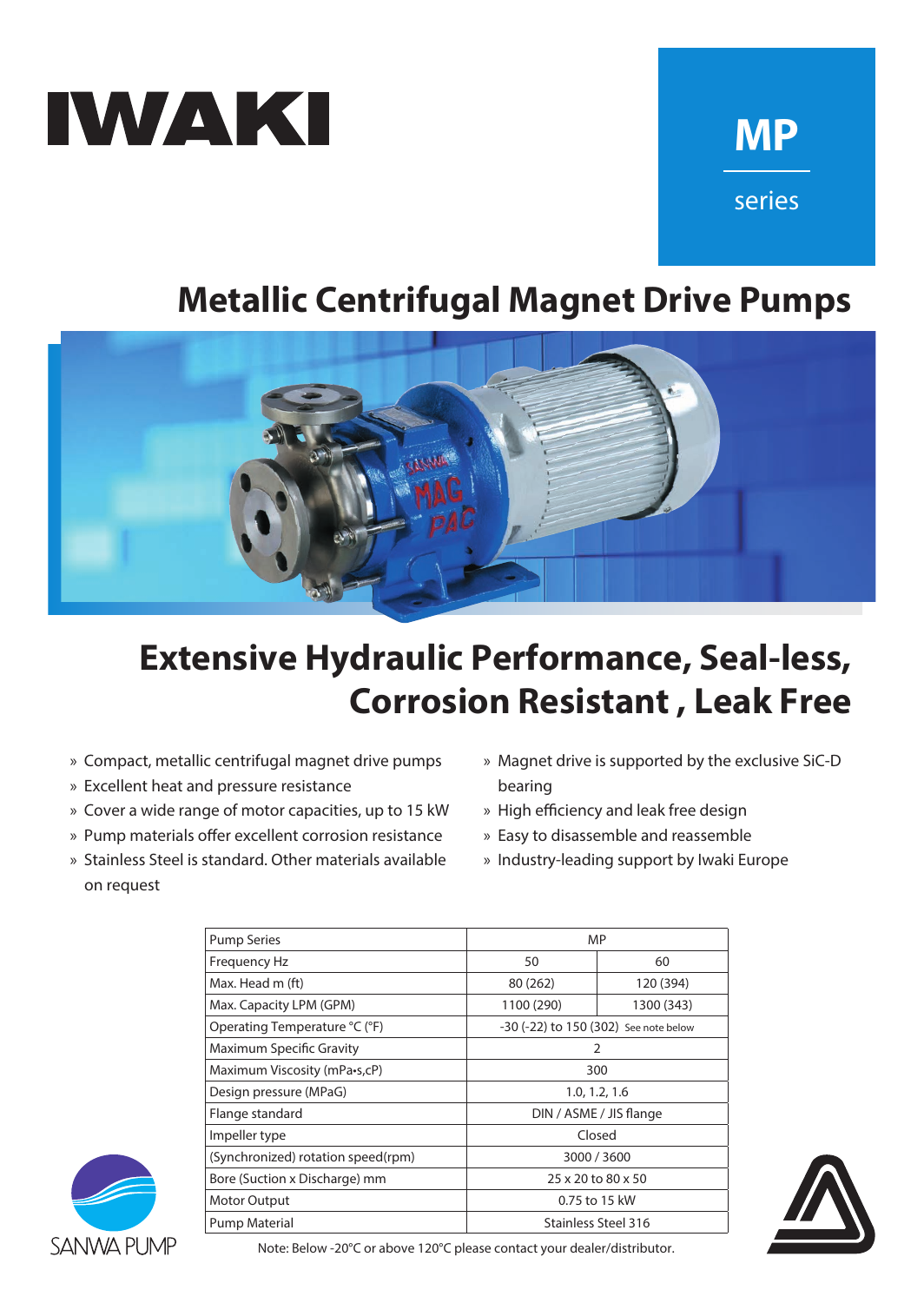

# **MP** series

## **Metallic Centrifugal Magnet Drive Pumps**



## **Extensive Hydraulic Performance, Seal-less, Corrosion Resistant, Leak Free**

- » Compact, metallic centrifugal magnet drive pumps
- » Excellent heat and pressure resistance
- » Cover a wide range of motor capacities, up to 15 kW
- » Pump materials offer excellent corrosion resistance
- » Stainless Steel is standard. Other materials available on request
- » Magnet drive is supported by the exclusive SiC-D bearing
- » High efficiency and leak free design
- » Easy to disassemble and reassemble
- » Industry-leading support by Iwaki Europe

| <b>Pump Series</b>                 | <b>MP</b>                             |            |
|------------------------------------|---------------------------------------|------------|
| Frequency Hz                       | 50                                    | 60         |
| Max. Head m (ft)                   | 80 (262)                              | 120 (394)  |
| Max. Capacity LPM (GPM)            | 1100 (290)                            | 1300 (343) |
| Operating Temperature °C (°F)      | -30 (-22) to 150 (302) See note below |            |
| <b>Maximum Specific Gravity</b>    | 2                                     |            |
| Maximum Viscosity (mPa•s,cP)       | 300                                   |            |
| Design pressure (MPaG)             | 1.0, 1.2, 1.6                         |            |
| Flange standard                    | DIN / ASME / JIS flange               |            |
| Impeller type                      | Closed                                |            |
| (Synchronized) rotation speed(rpm) | 3000 / 3600                           |            |
| Bore (Suction x Discharge) mm      | 25 x 20 to 80 x 50                    |            |
| <b>Motor Output</b>                | 0.75 to 15 kW                         |            |
| <b>Pump Material</b>               | Stainless Steel 316                   |            |



SANWA PUMP

Note: Below -20°C or above 120°C please contact your dealer/distributor.